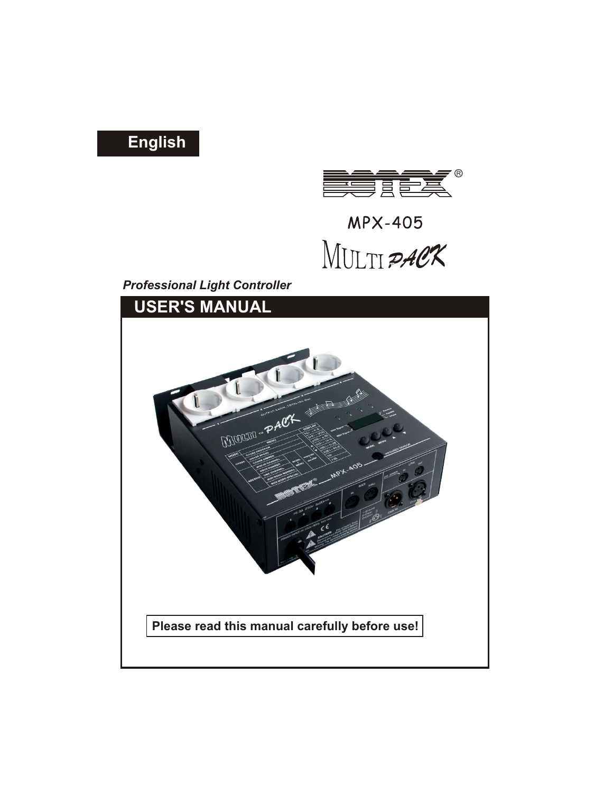# **English**



**MPX-405** MULTI PACK

*Professional Light Controller*

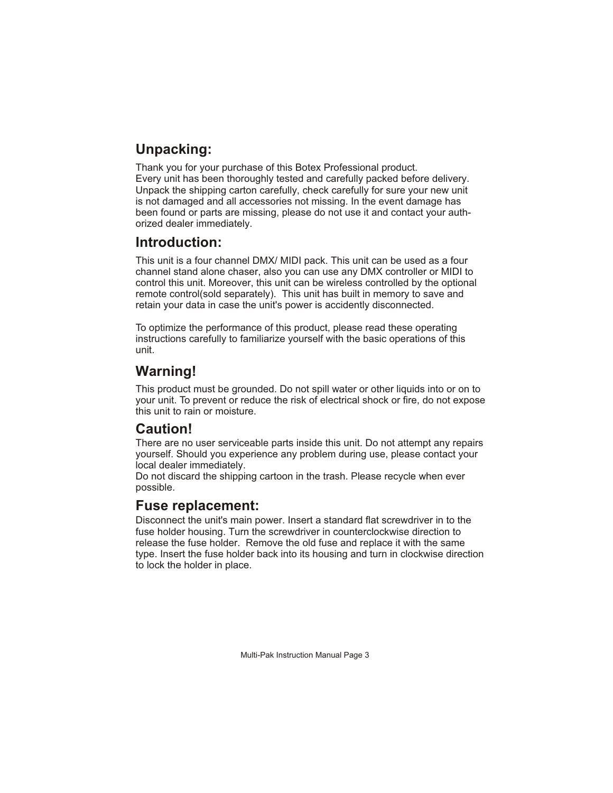# **Unpacking:**

Thank you for your purchase of this Botex Professional product. Every unit has been thoroughly tested and carefully packed before delivery. Unpack the shipping carton carefully, check carefully for sure your new unit is not damaged and all accessories not missing. In the event damage has been found or parts are missing, please do not use it and contact your authorized dealer immediately.

### **Introduction:**

This unit is a four channel DMX/ MIDI pack. This unit can be used as a four channel stand alone chaser, also you can use any DMX controller or MIDI to control this unit. Moreover, this unit can be wireless controlled by the optional remote control(sold separately). This unit has built in memory to save and retain your data in case the unit's power is accidently disconnected.

To optimize the performance of this product, please read these operating instructions carefully to familiarize yourself with the basic operations of this unit.

# **Warning!**

This product must be grounded. Do not spill water or other liquids into or on to your unit. To prevent or reduce the risk of electrical shock or fire, do not expose this unit to rain or moisture.

### **Caution!**

There are no user serviceable parts inside this unit. Do not attempt any repairs yourself. Should you experience any problem during use, please contact your local dealer immediately.

Do not discard the shipping cartoon in the trash. Please recycle when ever possible.

### **Fuse replacement:**

Disconnect the unit's main power. Insert a standard flat screwdriver in to the fuse holder housing. Turn the screwdriver in counterclockwise direction to release the fuse holder. Remove the old fuse and replace it with the same type. Insert the fuse holder back into its housing and turn in clockwise direction to lock the holder in place.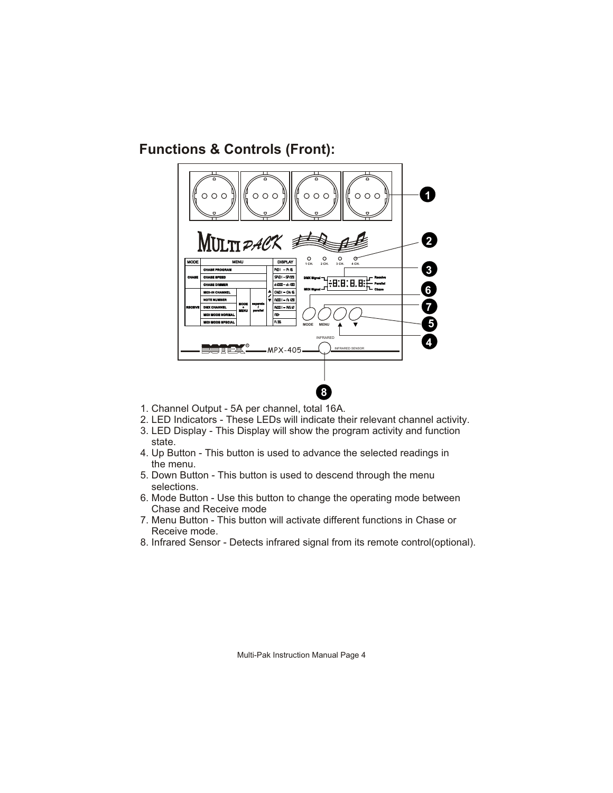**Functions & Controls (Front):**



- 1. Channel Output 5A per channel, total 16A.
- 2. LED Indicators These LEDs will indicate their relevant channel activity.
- 3. LED Display This Display will show the program activity and function state.
- 4. Up Button This button is used to advance the selected readings in the menu.
- 5. Down Button This button is used to descend through the menu selections.
- 6. Mode Button Use this button to change the operating mode between Chase and Receive mode
- 7. Menu Button This button will activate different functions in Chase or Receive mode.
- 8. Infrared Sensor Detects infrared signal from its remote control(optional).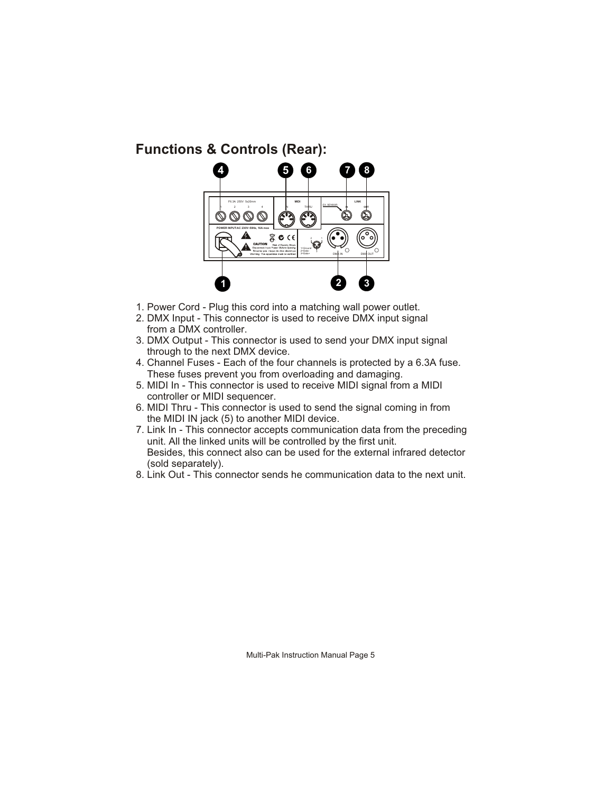### **Functions & Controls (Rear):**



- 1. Power Cord Plug this cord into a matching wall power outlet.
- 2. DMX Input This connector is used to receive DMX input signal from a DMX controller.
- 3. DMX Output This connector is used to send your DMX input signal through to the next DMX device.
- 4. Channel Fuses Each of the four channels is protected by a 6.3A fuse. These fuses prevent you from overloading and damaging.
- 5. MIDI In This connector is used to receive MIDI signal from a MIDI controller or MIDI sequencer.
- 6. MIDI Thru This connector is used to send the signal coming in from the MIDI IN jack (5) to another MIDI device.
- 7. Link In This connector accepts communication data from the preceding unit. All the linked units will be controlled by the first unit. Besides, this connect also can be used for the external infrared detector (sold separately).
- 8. Link Out This connector sends he communication data to the next unit.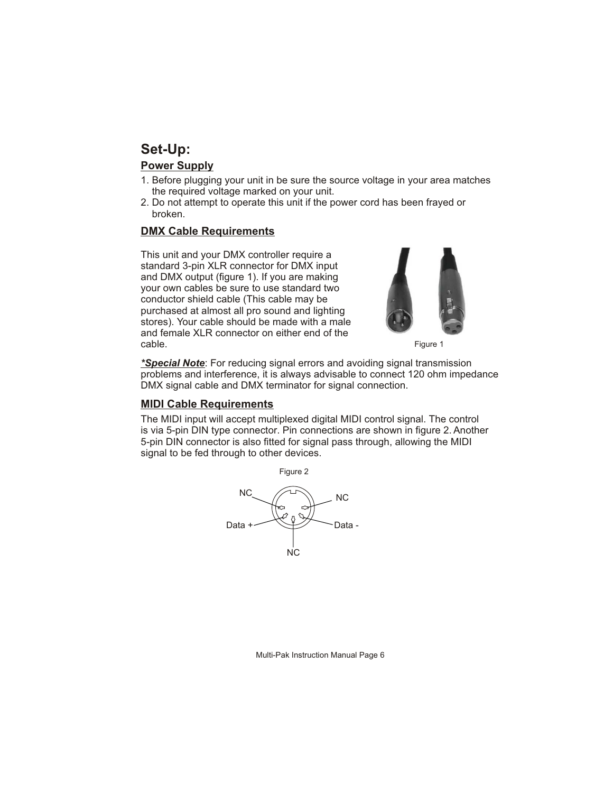### **Set-Up:**

#### **Power Supply**

- 1. Before plugging your unit in be sure the source voltage in your area matches the required voltage marked on your unit.
- 2. Do not attempt to operate this unit if the power cord has been frayed or broken.

#### **DMX Cable Requirements**

This unit and your DMX controller require a standard 3-pin XLR connector for DMX input and DMX output (figure 1). If you are making your own cables be sure to use standard two conductor shield cable (This cable may be purchased at almost all pro sound and lighting stores). Your cable should be made with a male and female XLR connector on either end of the cable.



Figure 1

*\*Special Note*: For reducing signal errors and avoiding signal transmission problems and interference, it is always advisable to connect 120 ohm impedance DMX signal cable and DMX terminator for signal connection.

### **MIDI Cable Requirements**

The MIDI input will accept multiplexed digital MIDI control signal. The control is via 5-pin DIN type connector. Pin connections are shown in figure 2. Another 5-pin DIN connector is also fitted for signal pass through, allowing the MIDI signal to be fed through to other devices.

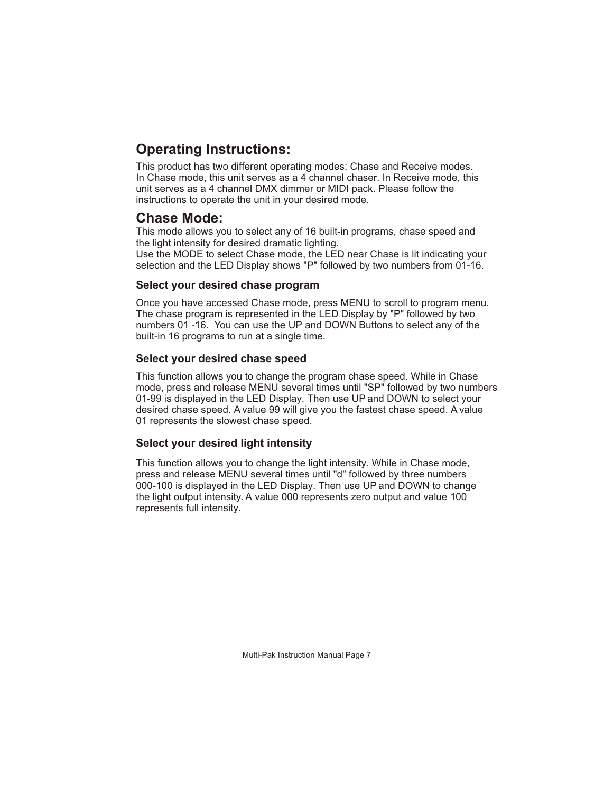# **Operating Instructions:**

This product has two different operating modes: Chase and Receive modes. In Chase mode, this unit serves as a 4 channel chaser. In Receive mode, this unit serves as a 4 channel DMX dimmer or MIDI pack. Please follow the instructions to operate the unit in your desired mode.

### **Chase Mode:**

This mode allows you to select any of 16 built-in programs, chase speed and the light intensity for desired dramatic lighting.

Use the MODE to select Chase mode, the LED near Chase is lit indicating your selection and the LED Display shows "P" followed by two numbers from 01-16.

### **Select your desired chase program**

Once you have accessed Chase mode, press MENU to scroll to program menu. The chase program is represented in the LED Display by "P" followed by two numbers 01 -16. You can use the UP and DOWN Buttons to select any of the built-in 16 programs to run at a single time.

### **Select your desired chase speed**

This function allows you to change the program chase speed. While in Chase mode, press and release MENU several times until "SP" followed by two numbers 01-99 is displayed in the LED Display. Then use UP and DOWN to select your desired chase speed. A value 99 will give you the fastest chase speed. A value 01 represents the slowest chase speed.

### **Select your desired light intensity**

This function allows you to change the light intensity. While in Chase mode, press and release MENU several times until "d" followed by three numbers 000-100 is displayed in the LED Display. Then use UP and DOWN to change the light output intensity. A value 000 represents zero output and value 100 represents full intensity.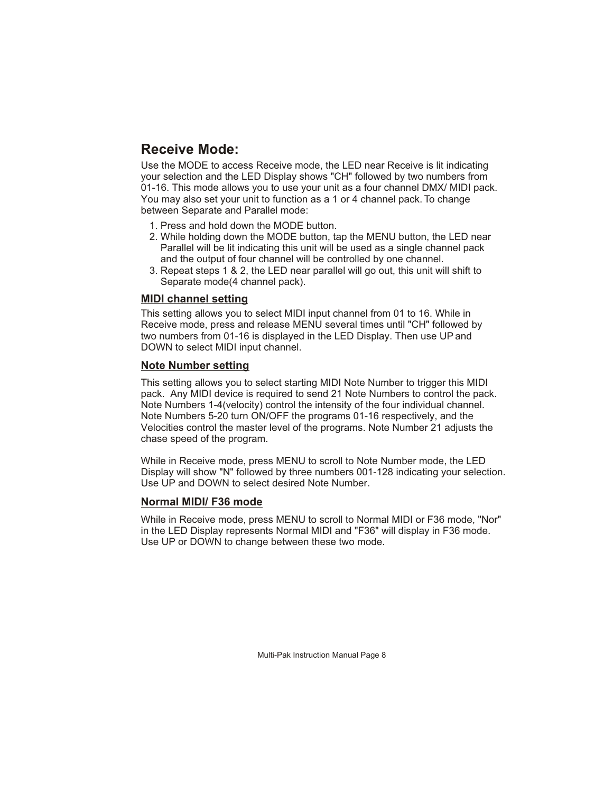# **Receive Mode:**

Use the MODE to access Receive mode, the LED near Receive is lit indicating your selection and the LED Display shows "CH" followed by two numbers from 01-16. This mode allows you to use your unit as a four channel DMX/ MIDI pack. You may also set your unit to function as a 1 or 4 channel pack. To change between Separate and Parallel mode:

- 1. Press and hold down the MODE button.
- 2. While holding down the MODE button, tap the MENU button, the LED near Parallel will be lit indicating this unit will be used as a single channel pack and the output of four channel will be controlled by one channel.
- 3. Repeat steps 1 & 2, the LED near parallel will go out, this unit will shift to Separate mode(4 channel pack).

#### **MIDI channel setting**

This setting allows you to select MIDI input channel from 01 to 16. While in Receive mode, press and release MENU several times until "CH" followed by two numbers from 01-16 is displayed in the LED Display. Then use UP and DOWN to select MIDI input channel.

#### **Note Number setting**

This setting allows you to select starting MIDI Note Number to trigger this MIDI pack. Any MIDI device is required to send 21 Note Numbers to control the pack. Note Numbers 1-4(velocity) control the intensity of the four individual channel. Note Numbers 5-20 turn ON/OFF the programs 01-16 respectively, and the Velocities control the master level of the programs. Note Number 21 adjusts the chase speed of the program.

While in Receive mode, press MENU to scroll to Note Number mode, the LED Display will show "N" followed by three numbers 001-128 indicating your selection. Use UP and DOWN to select desired Note Number.

### **Normal MIDI/ F36 mode**

While in Receive mode, press MENU to scroll to Normal MIDI or F36 mode, "Nor" in the LED Display represents Normal MIDI and "F36" will display in F36 mode. Use UP or DOWN to change between these two mode.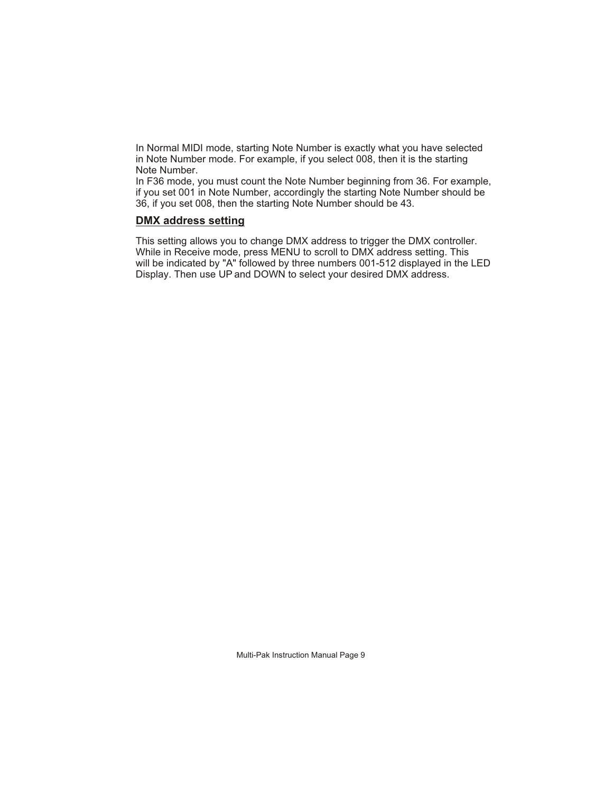In Normal MIDI mode, starting Note Number is exactly what you have selected in Note Number mode. For example, if you select 008, then it is the starting Note Number.

In F36 mode, you must count the Note Number beginning from 36. For example, if you set 001 in Note Number, accordingly the starting Note Number should be 36, if you set 008, then the starting Note Number should be 43.

#### **DMX address setting**

This setting allows you to change DMX address to trigger the DMX controller. While in Receive mode, press MENU to scroll to DMX address setting. This will be indicated by "A" followed by three numbers 001-512 displayed in the LED Display. Then use UP and DOWN to select your desired DMX address.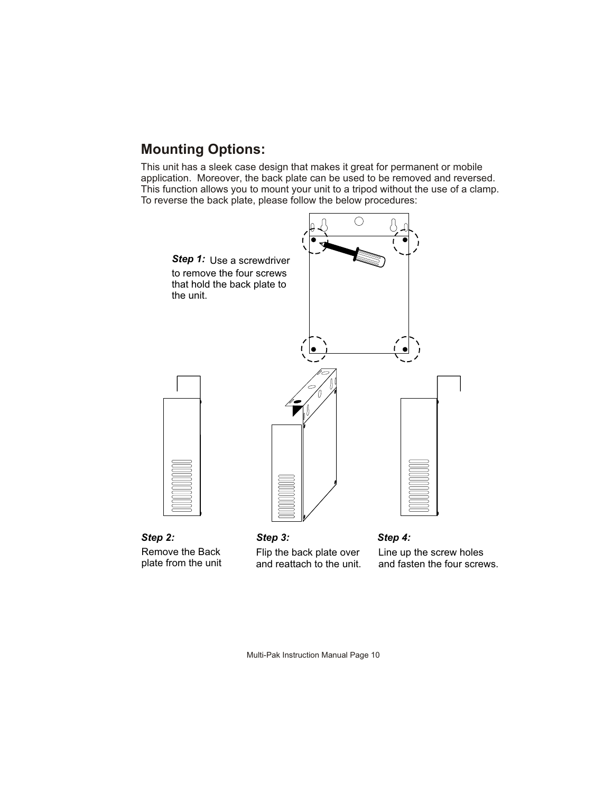## **Mounting Options:**

This unit has a sleek case design that makes it great for permanent or mobile application. Moreover, the back plate can be used to be removed and reversed. This function allows you to mount your unit to a tripod without the use of a clamp. To reverse the back plate, please follow the below procedures:



*Step 2:* Remove the Back plate from the unit

*Step 3:* Flip the back plate over and reattach to the unit.

*Step 4:* Line up the screw holes and fasten the four screws.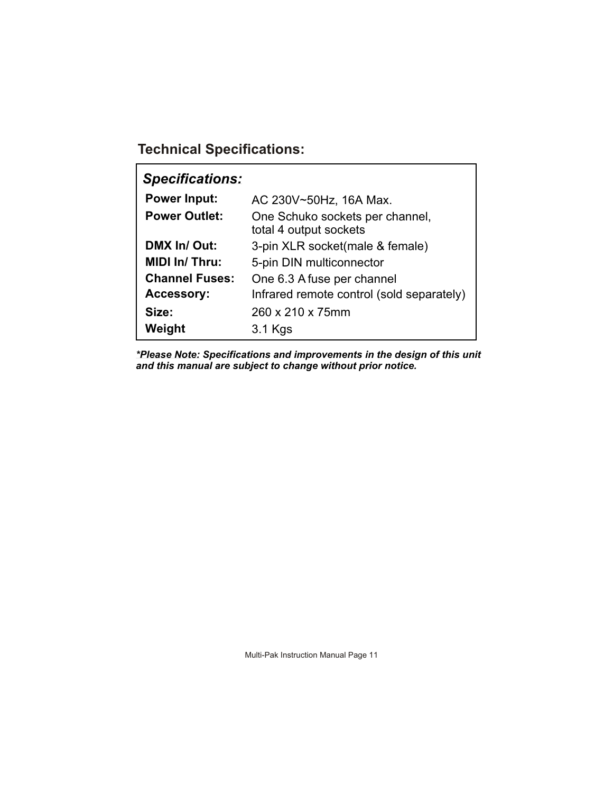**Technical Specifications:**

| <b>Specifications:</b> |                                                           |
|------------------------|-----------------------------------------------------------|
| <b>Power Input:</b>    | AC 230V~50Hz, 16A Max.                                    |
| <b>Power Outlet:</b>   | One Schuko sockets per channel,<br>total 4 output sockets |
| DMX In/ Out:           | 3-pin XLR socket(male & female)                           |
| <b>MIDI In/ Thru:</b>  | 5-pin DIN multiconnector                                  |
| <b>Channel Fuses:</b>  | One 6.3 A fuse per channel                                |
| <b>Accessory:</b>      | Infrared remote control (sold separately)                 |
| Size:                  | 260 x 210 x 75mm                                          |
| Weight                 | 3.1 Kgs                                                   |

*\*Please Note: Specifications and improvements in the design of this unit and this manual are subject to change without prior notice.*